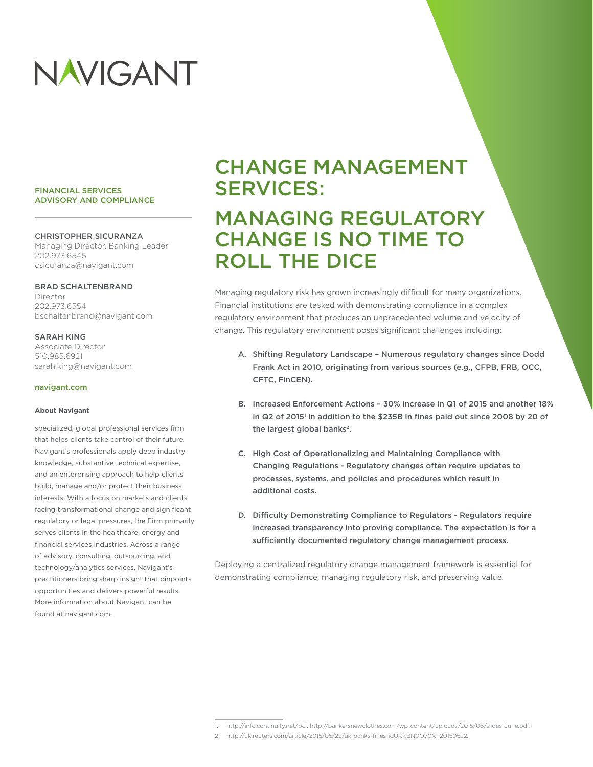# NAVIGANT

#### FINANCIAL SERVICES ADVISORY AND COMPLIANCE

#### CHRISTOPHER SICURANZA

Managing Director, Banking Leader 202.973.6545 csicuranza@navigant.com

#### BRAD SCHALTENBRAND

Director 202.973.6554 bschaltenbrand@navigant.com

#### SARAH KING

Associate Director 510.985.6921 sarah.king@navigant.com

#### navigant.com

#### **About Navigant**

specialized, global professional services firm that helps clients take control of their future. Navigant's professionals apply deep industry knowledge, substantive technical expertise, and an enterprising approach to help clients build, manage and/or protect their business interests. With a focus on markets and clients facing transformational change and significant regulatory or legal pressures, the Firm primarily serves clients in the healthcare, energy and financial services industries. Across a range of advisory, consulting, outsourcing, and technology/analytics services, Navigant's practitioners bring sharp insight that pinpoints opportunities and delivers powerful results. More information about Navigant can be found at navigant.com.

# CHANGE MANAGEMENT SERVICES: MANAGING REGULATORY CHANGE IS NO TIME TO ROLL THE DICE

Managing regulatory risk has grown increasingly difficult for many organizations. Financial institutions are tasked with demonstrating compliance in a complex regulatory environment that produces an unprecedented volume and velocity of change. This regulatory environment poses significant challenges including:

- A. Shifting Regulatory Landscape Numerous regulatory changes since Dodd Frank Act in 2010, originating from various sources (e.g., CFPB, FRB, OCC, CFTC, FinCEN).
- B. Increased Enforcement Actions 30% increase in Q1 of 2015 and another 18% in Q2 of 2015' in addition to the \$235B in fines paid out since 2008 by 20 of the largest global banks<sup>2</sup>.
- C. High Cost of Operationalizing and Maintaining Compliance with Changing Regulations - Regulatory changes often require updates to processes, systems, and policies and procedures which result in additional costs.
- D. Difficulty Demonstrating Compliance to Regulators Regulators require increased transparency into proving compliance. The expectation is for a sufficiently documented regulatory change management process.

Deploying a centralized regulatory change management framework is essential for demonstrating compliance, managing regulatory risk, and preserving value.

<sup>1.</sup> http://info.continuity.net/bci; http://bankersnewclothes.com/wp-content/uploads/2015/06/slides-June.pdf.

<sup>2.</sup> http://uk.reuters.com/article/2015/05/22/uk-banks-fines-idUKKBN0O70XT20150522.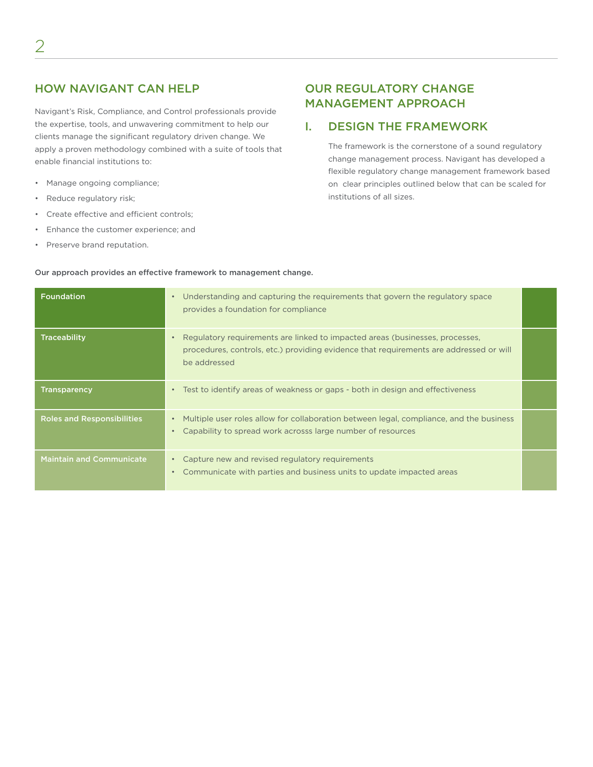# HOW NAVIGANT CAN HELP

Navigant's Risk, Compliance, and Control professionals provide the expertise, tools, and unwavering commitment to help our clients manage the significant regulatory driven change. We apply a proven methodology combined with a suite of tools that enable financial institutions to:

- Manage ongoing compliance;
- Reduce regulatory risk;
- Create effective and efficient controls;
- Enhance the customer experience; and
- Preserve brand reputation.

# OUR REGULATORY CHANGE MANAGEMENT APPROACH

# I. DESIGN THE FRAMEWORK

The framework is the cornerstone of a sound regulatory change management process. Navigant has developed a flexible regulatory change management framework based on clear principles outlined below that can be scaled for institutions of all sizes.

#### Our approach provides an effective framework to management change.

| <b>Foundation</b>                 | Understanding and capturing the requirements that govern the regulatory space<br>$\bullet$<br>provides a foundation for compliance                                                     |  |
|-----------------------------------|----------------------------------------------------------------------------------------------------------------------------------------------------------------------------------------|--|
| <b>Traceability</b>               | Regulatory requirements are linked to impacted areas (businesses, processes,<br>procedures, controls, etc.) providing evidence that requirements are addressed or will<br>be addressed |  |
| <b>Transparency</b>               | Test to identify areas of weakness or gaps - both in design and effectiveness                                                                                                          |  |
| <b>Roles and Responsibilities</b> | Multiple user roles allow for collaboration between legal, compliance, and the business<br>$\bullet$<br>Capability to spread work acrosss large number of resources                    |  |
| <b>Maintain and Communicate</b>   | Capture new and revised regulatory requirements<br>Communicate with parties and business units to update impacted areas<br>$\bullet$                                                   |  |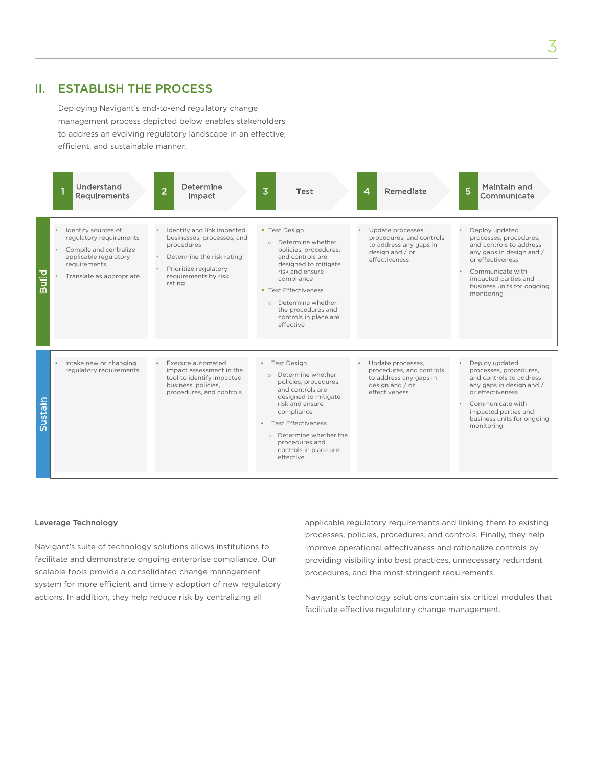# II. ESTABLISH THE PROCESS

Deploying Navigant's end-to-end regulatory change management process depicted below enables stakeholders to address an evolving regulatory landscape in an effective, efficient, and sustainable manner.



#### Leverage Technology

Navigant's suite of technology solutions allows institutions to facilitate and demonstrate ongoing enterprise compliance. Our scalable tools provide a consolidated change management system for more efficient and timely adoption of new regulatory actions. In addition, they help reduce risk by centralizing all

applicable regulatory requirements and linking them to existing processes, policies, procedures, and controls. Finally, they help improve operational effectiveness and rationalize controls by providing visibility into best practices, unnecessary redundant procedures, and the most stringent requirements.

Navigant's technology solutions contain six critical modules that facilitate effective regulatory change management.